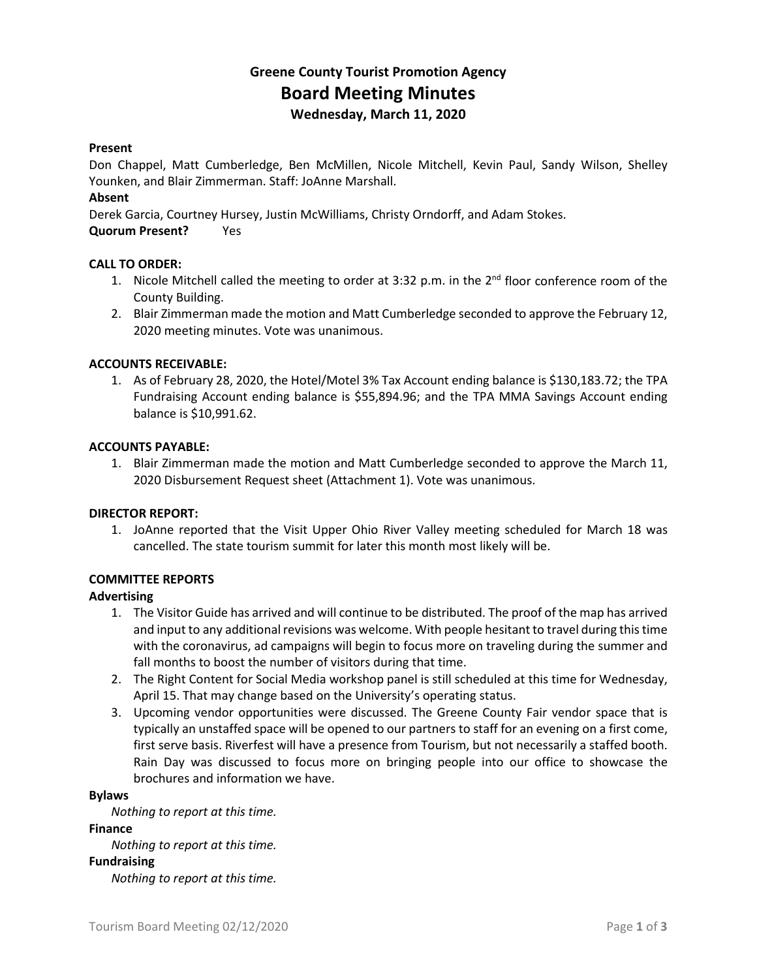## **Greene County Tourist Promotion Agency Board Meeting Minutes Wednesday, March 11, 2020**

#### **Present**

Don Chappel, Matt Cumberledge, Ben McMillen, Nicole Mitchell, Kevin Paul, Sandy Wilson, Shelley Younken, and Blair Zimmerman. Staff: JoAnne Marshall.

## **Absent**

Derek Garcia, Courtney Hursey, Justin McWilliams, Christy Orndorff, and Adam Stokes.

## **Quorum Present?** Yes

## **CALL TO ORDER:**

- 1. Nicole Mitchell called the meeting to order at 3:32 p.m. in the 2<sup>nd</sup> floor conference room of the County Building.
- 2. Blair Zimmerman made the motion and Matt Cumberledge seconded to approve the February 12, 2020 meeting minutes. Vote was unanimous.

## **ACCOUNTS RECEIVABLE:**

1. As of February 28, 2020, the Hotel/Motel 3% Tax Account ending balance is \$130,183.72; the TPA Fundraising Account ending balance is \$55,894.96; and the TPA MMA Savings Account ending balance is \$10,991.62.

#### **ACCOUNTS PAYABLE:**

1. Blair Zimmerman made the motion and Matt Cumberledge seconded to approve the March 11, 2020 Disbursement Request sheet (Attachment 1). Vote was unanimous.

#### **DIRECTOR REPORT:**

1. JoAnne reported that the Visit Upper Ohio River Valley meeting scheduled for March 18 was cancelled. The state tourism summit for later this month most likely will be.

## **COMMITTEE REPORTS**

#### **Advertising**

- 1. The Visitor Guide has arrived and will continue to be distributed. The proof of the map has arrived and input to any additional revisions was welcome. With people hesitant to travel during this time with the coronavirus, ad campaigns will begin to focus more on traveling during the summer and fall months to boost the number of visitors during that time.
- 2. The Right Content for Social Media workshop panel is still scheduled at this time for Wednesday, April 15. That may change based on the University's operating status.
- 3. Upcoming vendor opportunities were discussed. The Greene County Fair vendor space that is typically an unstaffed space will be opened to our partners to staff for an evening on a first come, first serve basis. Riverfest will have a presence from Tourism, but not necessarily a staffed booth. Rain Day was discussed to focus more on bringing people into our office to showcase the brochures and information we have.

#### **Bylaws**

*Nothing to report at this time.*

#### **Finance**

*Nothing to report at this time.*

#### **Fundraising**

*Nothing to report at this time.*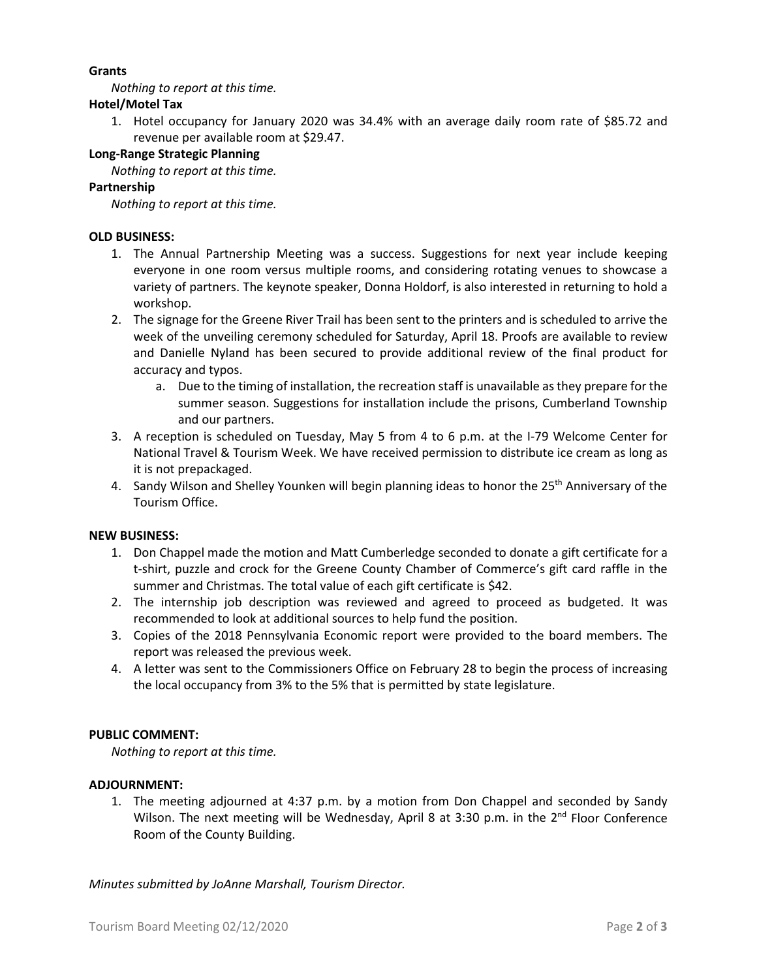## **Grants**

*Nothing to report at this time.*

## **Hotel/Motel Tax**

1. Hotel occupancy for January 2020 was 34.4% with an average daily room rate of \$85.72 and revenue per available room at \$29.47.

## **Long-Range Strategic Planning**

*Nothing to report at this time.*

## **Partnership**

*Nothing to report at this time.*

## **OLD BUSINESS:**

- 1. The Annual Partnership Meeting was a success. Suggestions for next year include keeping everyone in one room versus multiple rooms, and considering rotating venues to showcase a variety of partners. The keynote speaker, Donna Holdorf, is also interested in returning to hold a workshop.
- 2. The signage for the Greene River Trail has been sent to the printers and is scheduled to arrive the week of the unveiling ceremony scheduled for Saturday, April 18. Proofs are available to review and Danielle Nyland has been secured to provide additional review of the final product for accuracy and typos.
	- a. Due to the timing of installation, the recreation staff is unavailable as they prepare for the summer season. Suggestions for installation include the prisons, Cumberland Township and our partners.
- 3. A reception is scheduled on Tuesday, May 5 from 4 to 6 p.m. at the I-79 Welcome Center for National Travel & Tourism Week. We have received permission to distribute ice cream as long as it is not prepackaged.
- 4. Sandy Wilson and Shelley Younken will begin planning ideas to honor the 25<sup>th</sup> Anniversary of the Tourism Office.

## **NEW BUSINESS:**

- 1. Don Chappel made the motion and Matt Cumberledge seconded to donate a gift certificate for a t-shirt, puzzle and crock for the Greene County Chamber of Commerce's gift card raffle in the summer and Christmas. The total value of each gift certificate is \$42.
- 2. The internship job description was reviewed and agreed to proceed as budgeted. It was recommended to look at additional sources to help fund the position.
- 3. Copies of the 2018 Pennsylvania Economic report were provided to the board members. The report was released the previous week.
- 4. A letter was sent to the Commissioners Office on February 28 to begin the process of increasing the local occupancy from 3% to the 5% that is permitted by state legislature.

## **PUBLIC COMMENT:**

*Nothing to report at this time.*

## **ADJOURNMENT:**

1. The meeting adjourned at 4:37 p.m. by a motion from Don Chappel and seconded by Sandy Wilson. The next meeting will be Wednesday, April 8 at 3:30 p.m. in the  $2<sup>nd</sup>$  Floor Conference Room of the County Building.

*Minutes submitted by JoAnne Marshall, Tourism Director.*